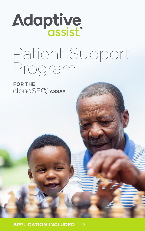# Adaptive

# Patient Support Program

**FOR THE**  $clonosE@^{\circ}$  **ASSAY** 

**APPLICATION INCLUDED**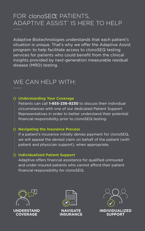### FOR clonoSEQ<sup>®</sup> PATIENTS, ADAPTIVE ASSIST<sup>®</sup> IS HERE TO HELP

Adaptive Biotechnologies understands that each patient's situation is unique. That's why we offer the Adaptive Assist program: to help facilitate access to clonoSEQ testing services for patients who could benefit from the clinical insights provided by next-generation measurable residual disease (MRD) testing.

### WE CAN HELP WITH:

#### **Understanding Your Coverage**

Patients can call **1-855-236-9230** to discuss their individual circumstances with one of our dedicated Patient Support Representatives in order to better understand their potential financial responsibility prior to clonoSEQ testing.

#### **Navigating the Insurance Process**

If a patient's insurance initially denies payment for clonoSEQ, we will appeal the denied claim on behalf of the patient (with patient and physician support), when appropriate.

#### **Individualized Patient Support**

Adaptive offers financial assistance for qualified uninsured and under-insured patients who cannot afford their patient financial responsibility for clonoSEQ.







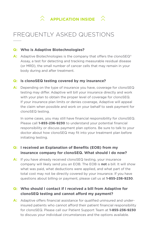

# FREQUENTLY ASKED QUESTIONS

#### **Q: Who is Adaptive Biotechnologies?**

**A:** Adaptive Biotechnologies is the company that offers the clonoSEQ<sup>®</sup> Assay, a test for detecting and tracking measurable residual disease (or MRD), the small number of cancer cells that may remain in your body during and after treatment.

#### **Q: Is clonoSEQ testing covered by my insurance?**

**A:** Depending on the type of insurance you have, coverage for clonoSEQ testing may differ. Adaptive will bill your insurance directly and work with your plan to obtain the proper level of coverage for clonoSEQ. If your insurance plan limits or denies coverage, Adaptive will appeal the claim when possible and work on your behalf to seek payment for clonoSEQ testing.

In some cases, you may still have financial responsibility for clonoSEQ. Please call **1-855-236-9230** to understand your potential financial responsibility or discuss payment plan options. Be sure to talk to your doctor about how clonoSEQ may fit into your treatment plan before initiating testing.

#### **Q: I received an Explanation of Benefits (EOB) from my insurance company for clonoSEQ. What should I do now?**

**A:** If you have already received clonoSEQ testing, your insurance company will likely send you an EOB. The EOB is **not** a bill. It will show what was paid, what deductions were applied, and what part of the total cost may not be directly covered by your insurance. If you have questions about billing or payment, please call us at **1-855-236-9230**.

#### **Q: Who should I contact if I received a bill from Adaptive for clonoSEQ testing and cannot afford my payment?**

**A:** Adaptive offers financial assistance for qualified uninsured and underinsured patients who cannot afford their patient financial responsibility for clonoSEQ. Please call our Patient Support Team at **1-855-236-9230** to discuss your individual circumstances and the options available.